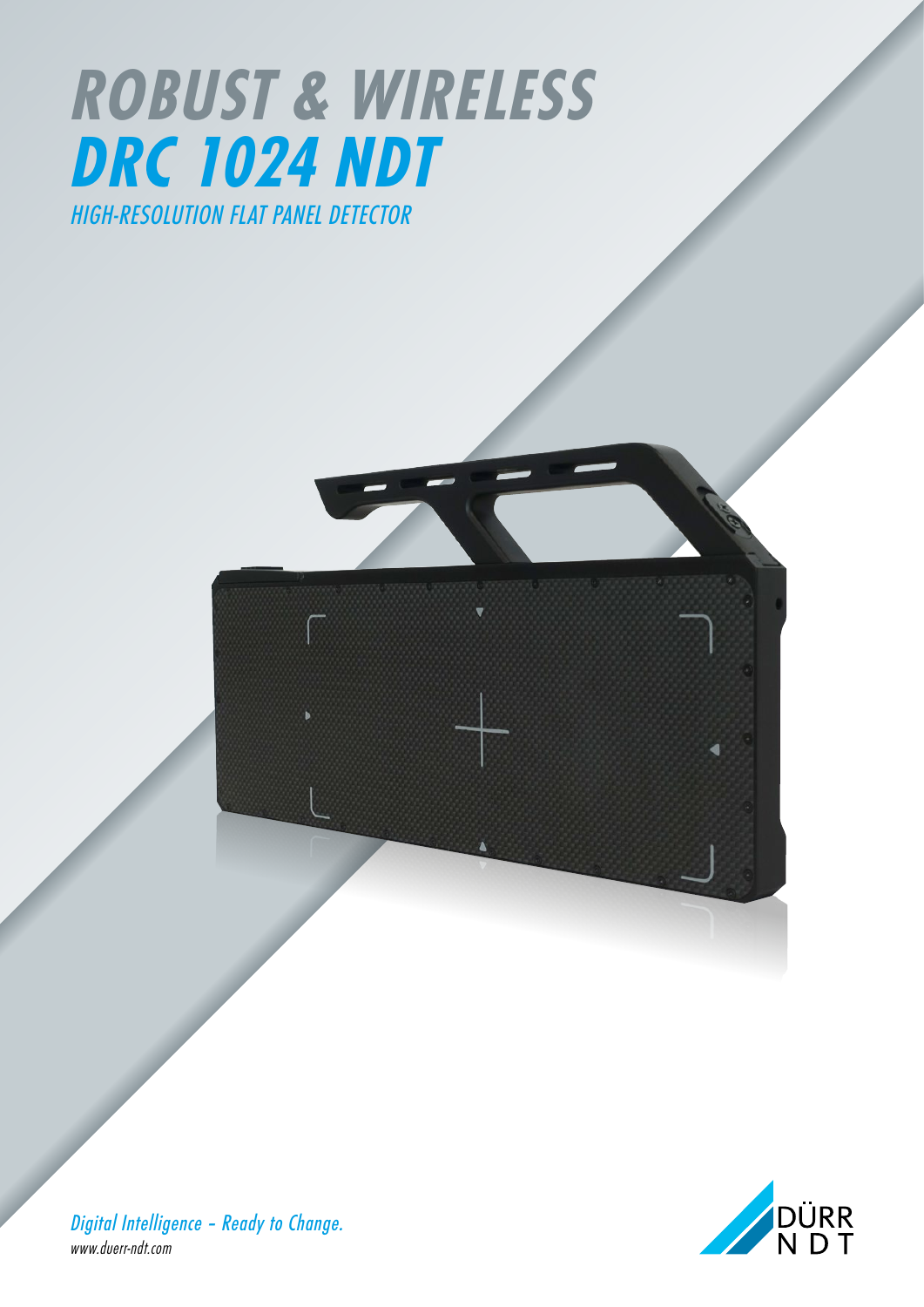## *ROBUST & WIRELESS DRC 1024 NDT HIGH-RESOLUTION FLAT PANEL DETECTOR*



*Digital Intelligence – Ready to Change. www.duerr-ndt.com*